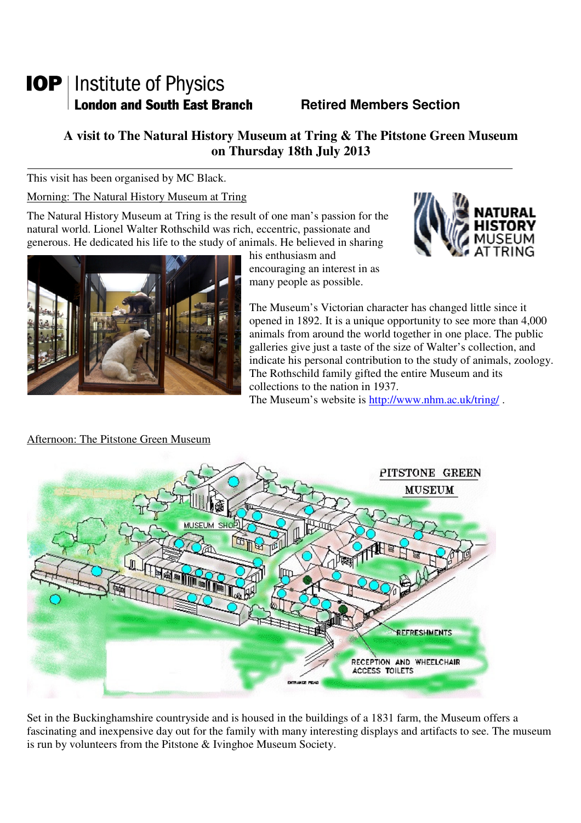# **IOP** | Institute of Physics **London and South East Branch Famely Retired Members Section**

# **A visit to The Natural History Museum at Tring & The Pitstone Green Museum on Thursday 18th July 2013**

This visit has been organised by MC Black.

Morning: The Natural History Museum at Tring

The Natural History Museum at Tring is the result of one man's passion for the natural world. Lionel Walter Rothschild was rich, eccentric, passionate and generous. He dedicated his life to the study of animals. He believed in sharing



his enthusiasm and encouraging an interest in as many people as possible.



The Museum's Victorian character has changed little since it opened in 1892. It is a unique opportunity to see more than 4,000 animals from around the world together in one place. The public galleries give just a taste of the size of Walter's collection, and indicate his personal contribution to the study of animals, zoology. The Rothschild family gifted the entire Museum and its collections to the nation in 1937.

The Museum's website is http://www.nhm.ac.uk/tring/.



## Afternoon: The Pitstone Green Museum

Set in the Buckinghamshire countryside and is housed in the buildings of a 1831 farm, the Museum offers a fascinating and inexpensive day out for the family with many interesting displays and artifacts to see. The museum is run by volunteers from the Pitstone & Ivinghoe Museum Society.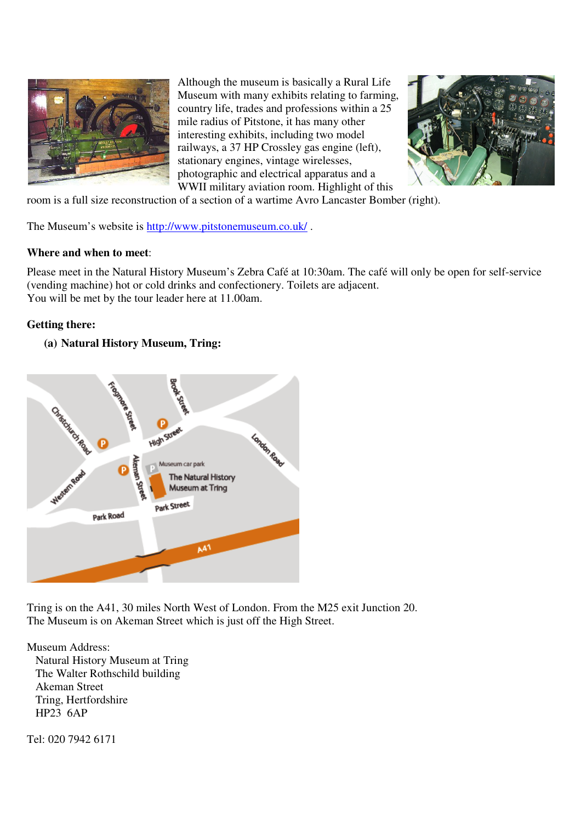

Although the museum is basically a Rural Life Museum with many exhibits relating to farming, country life, trades and professions within a 25 mile radius of Pitstone, it has many other interesting exhibits, including two model railways, a 37 HP Crossley gas engine (left), stationary engines, vintage wirelesses, photographic and electrical apparatus and a WWII military aviation room. Highlight of this



room is a full size reconstruction of a section of a wartime Avro Lancaster Bomber (right).

The Museum's website is http://www.pitstonemuseum.co.uk/ .

#### **Where and when to meet**:

Please meet in the Natural History Museum's Zebra Café at 10:30am. The café will only be open for self-service (vending machine) hot or cold drinks and confectionery. Toilets are adjacent. You will be met by the tour leader here at 11.00am.

#### **Getting there:**

#### **(a) Natural History Museum, Tring:**



Tring is on the A41, 30 miles North West of London. From the M25 exit Junction 20. The Museum is on Akeman Street which is just off the High Street.

Museum Address: Natural History Museum at Tring The Walter Rothschild building Akeman Street Tring, Hertfordshire HP23 6AP

Tel: 020 7942 6171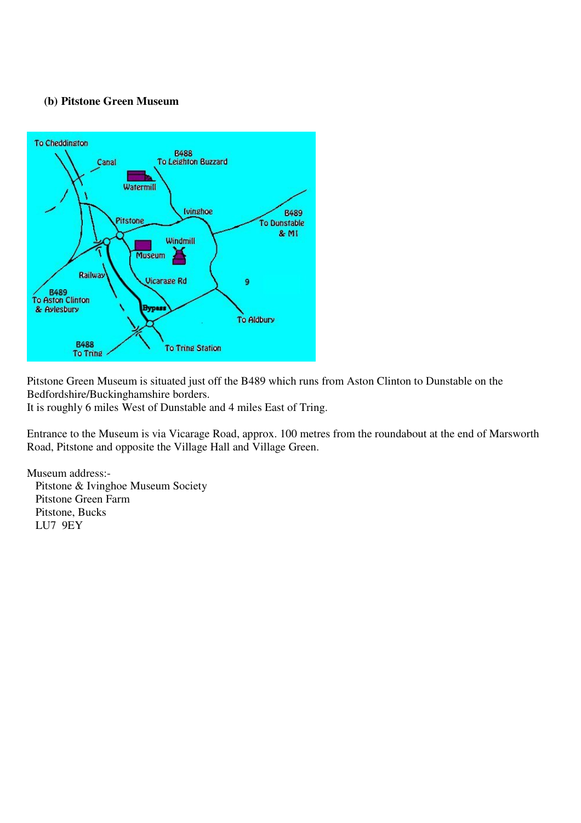### **(b) Pitstone Green Museum**



Pitstone Green Museum is situated just off the B489 which runs from Aston Clinton to Dunstable on the Bedfordshire/Buckinghamshire borders.

It is roughly 6 miles West of Dunstable and 4 miles East of Tring.

Entrance to the Museum is via Vicarage Road, approx. 100 metres from the roundabout at the end of Marsworth Road, Pitstone and opposite the Village Hall and Village Green.

Museum address:-

 Pitstone & Ivinghoe Museum Society Pitstone Green Farm Pitstone, Bucks LU7 9EY